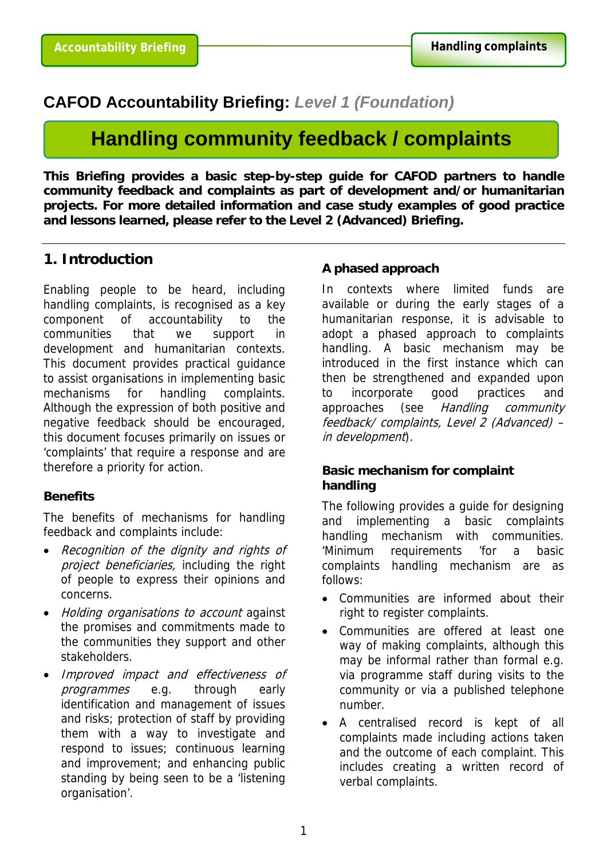# **CAFOD Accountability Briefing:** *Level 1 (Foundation)*

# **Handling community feedback / complaints**

**This Briefing provides a basic step-by-step guide for CAFOD partners to handle community feedback and complaints as part of development and/or humanitarian projects. For more detailed information and case study examples of good practice and lessons learned, please refer to the Level 2 (Advanced) Briefing.** 

# **1. Introduction**

Enabling people to be heard, including handling complaints, is recognised as a key component of accountability to the communities that we support in development and humanitarian contexts. This document provides practical guidance to assist organisations in implementing basic mechanisms for handling complaints. Although the expression of both positive and negative feedback should be encouraged, this document focuses primarily on issues or 'complaints' that require a response and are therefore a priority for action.

# **Benefits**

The benefits of mechanisms for handling feedback and complaints include:

- Recognition of the dignity and rights of project beneficiaries, including the right of people to express their opinions and concerns.
- Holding organisations to account against the promises and commitments made to the communities they support and other stakeholders.
- Improved impact and effectiveness of programmes e.g. through early identification and management of issues and risks; protection of staff by providing them with a way to investigate and respond to issues; continuous learning and improvement; and enhancing public standing by being seen to be a 'listening organisation'.

# **A phased approach**

In contexts where limited funds are available or during the early stages of a humanitarian response, it is advisable to adopt a phased approach to complaints handling. A basic mechanism may be introduced in the first instance which can then be strengthened and expanded upon to incorporate good practices and approaches (see Handling community feedback/ complaints, Level 2 (Advanced) – in development).

# **Basic mechanism for complaint handling**

The following provides a guide for designing and implementing a basic complaints handling mechanism with communities. 'Minimum requirements 'for a basic complaints handling mechanism are as follows:

- Communities are informed about their right to register complaints.
- Communities are offered at least one way of making complaints, although this may be informal rather than formal e.g. via programme staff during visits to the community or via a published telephone number.
- A centralised record is kept of all complaints made including actions taken and the outcome of each complaint. This includes creating a written record of verbal complaints.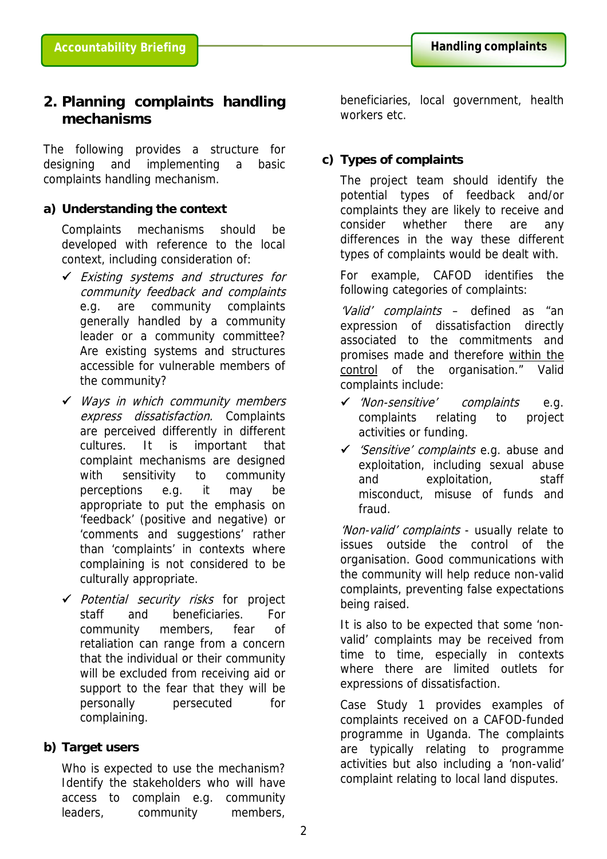# **2. Planning complaints handling mechanisms**

The following provides a structure for designing and implementing a basic complaints handling mechanism.

# **a) Understanding the context**

Complaints mechanisms should be developed with reference to the local context, including consideration of:

- 9 Existing systems and structures for community feedback and complaints e.g. are community complaints generally handled by a community leader or a community committee? Are existing systems and structures accessible for vulnerable members of the community?
- $\checkmark$  Ways in which community members express dissatisfaction. Complaints are perceived differently in different cultures. It is important that complaint mechanisms are designed with sensitivity to community perceptions e.g. it may be appropriate to put the emphasis on 'feedback' (positive and negative) or 'comments and suggestions' rather than 'complaints' in contexts where complaining is not considered to be culturally appropriate.
- ◆ *Potential security risks* for project staff and beneficiaries. For community members, fear of retaliation can range from a concern that the individual or their community will be excluded from receiving aid or support to the fear that they will be personally persecuted for complaining.

# **b) Target users**

Who is expected to use the mechanism? Identify the stakeholders who will have access to complain e.g. community leaders, community members, beneficiaries, local government, health workers etc.

# **c) Types of complaints**

The project team should identify the potential types of feedback and/or complaints they are likely to receive and consider whether there are any differences in the way these different types of complaints would be dealt with.

For example, CAFOD identifies the following categories of complaints:

'Valid' complaints - defined as "an expression of dissatisfaction directly associated to the commitments and promises made and therefore within the control of the organisation." Valid complaints include:

- $\checkmark$  'Non-sensitive' complaints e.g. complaints relating to project activities or funding.
- ◆ 'Sensitive' complaints e.g. abuse and exploitation, including sexual abuse and exploitation, staff misconduct, misuse of funds and fraud.

'Non-valid' complaints - usually relate to issues outside the control of the organisation. Good communications with the community will help reduce non-valid complaints, preventing false expectations being raised.

It is also to be expected that some 'nonvalid' complaints may be received from time to time, especially in contexts where there are limited outlets for expressions of dissatisfaction.

Case Study 1 provides examples of complaints received on a CAFOD-funded programme in Uganda. The complaints are typically relating to programme activities but also including a 'non-valid' complaint relating to local land disputes.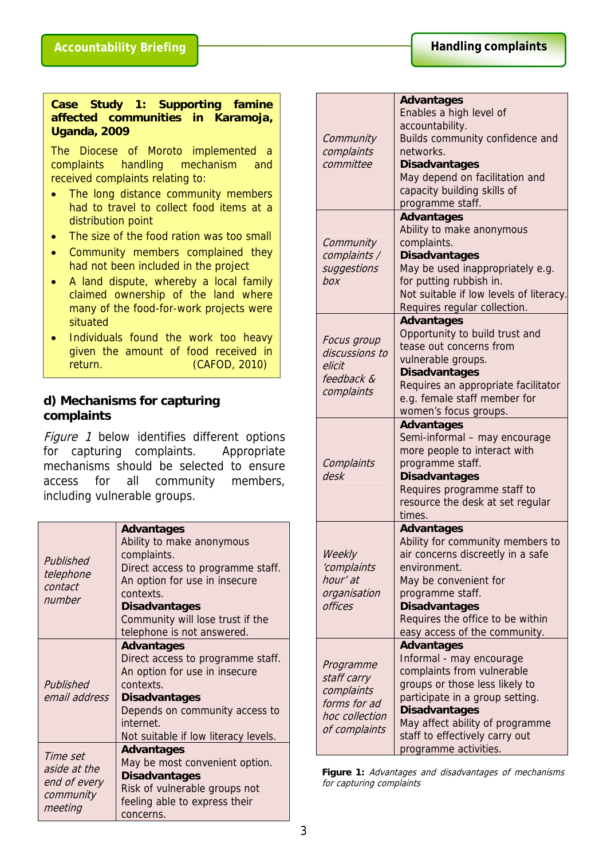#### **Case Study 1: Supporting famine affected communities in Karamoja, Uganda, 2009**

The Diocese of Moroto implemented a complaints handling mechanism and received complaints relating to:

- The long distance community members had to travel to collect food items at a distribution point
- The size of the food ration was too small
- Community members complained they had not been included in the project
- A land dispute, whereby a local family claimed ownership of the land where many of the food-for-work projects were situated
- Individuals found the work too heavy given the amount of food received in return. (CAFOD, 2010)

### **d) Mechanisms for capturing complaints**

Figure 1 below identifies different options for capturing complaints. Appropriate mechanisms should be selected to ensure access for all community members, including vulnerable groups.

| Published<br>telephone<br>contact<br>number                      | <b>Advantages</b><br>Ability to make anonymous<br>complaints.<br>Direct access to programme staff.<br>An option for use in insecure<br>contexts.<br><b>Disadvantages</b><br>Community will lose trust if the<br>telephone is not answered. |
|------------------------------------------------------------------|--------------------------------------------------------------------------------------------------------------------------------------------------------------------------------------------------------------------------------------------|
| Published<br>email address                                       | <b>Advantages</b><br>Direct access to programme staff.<br>An option for use in insecure<br>contexts.<br><b>Disadvantages</b><br>Depends on community access to<br>internet.<br>Not suitable if low literacy levels.                        |
| Time set<br>aside at the<br>end of every<br>community<br>meeting | <b>Advantages</b><br>May be most convenient option.<br><b>Disadvantages</b><br>Risk of vulnerable groups not<br>feeling able to express their<br>concerns.                                                                                 |

|                | <b>Advantages</b>                       |  |  |  |  |
|----------------|-----------------------------------------|--|--|--|--|
|                | Enables a high level of                 |  |  |  |  |
|                | accountability.                         |  |  |  |  |
| Community      | Builds community confidence and         |  |  |  |  |
| complaints     | networks.                               |  |  |  |  |
| committee      | <b>Disadvantages</b>                    |  |  |  |  |
|                | May depend on facilitation and          |  |  |  |  |
|                | capacity building skills of             |  |  |  |  |
|                | programme staff.                        |  |  |  |  |
|                | <b>Advantages</b>                       |  |  |  |  |
|                | Ability to make anonymous               |  |  |  |  |
| Community      | complaints.                             |  |  |  |  |
| complaints /   | <b>Disadvantages</b>                    |  |  |  |  |
| suggestions    |                                         |  |  |  |  |
| box            | May be used inappropriately e.g.        |  |  |  |  |
|                | for putting rubbish in.                 |  |  |  |  |
|                | Not suitable if low levels of literacy. |  |  |  |  |
|                | Requires regular collection.            |  |  |  |  |
|                | <b>Advantages</b>                       |  |  |  |  |
| Focus group    | Opportunity to build trust and          |  |  |  |  |
| discussions to | tease out concerns from                 |  |  |  |  |
| elicit         | vulnerable groups.                      |  |  |  |  |
| feedback &     | <b>Disadvantages</b>                    |  |  |  |  |
| complaints     | Requires an appropriate facilitator     |  |  |  |  |
|                | e.g. female staff member for            |  |  |  |  |
|                | women's focus groups.                   |  |  |  |  |
|                | <b>Advantages</b>                       |  |  |  |  |
|                | Semi-informal - may encourage           |  |  |  |  |
|                | more people to interact with            |  |  |  |  |
| Complaints     | programme staff.                        |  |  |  |  |
| desk           | <b>Disadvantages</b>                    |  |  |  |  |
|                | Requires programme staff to             |  |  |  |  |
|                | resource the desk at set regular        |  |  |  |  |
|                | times.                                  |  |  |  |  |
|                | <b>Advantages</b>                       |  |  |  |  |
|                | Ability for community members to        |  |  |  |  |
| <b>Weekly</b>  | air concerns discreetly in a safe       |  |  |  |  |
| 'complaints    | environment.                            |  |  |  |  |
| hour' at       | May be convenient for                   |  |  |  |  |
| organisation   | programme staff.                        |  |  |  |  |
| offices        | <b>Disadvantages</b>                    |  |  |  |  |
|                | Requires the office to be within        |  |  |  |  |
|                | easy access of the community.           |  |  |  |  |
|                | <b>Advantages</b>                       |  |  |  |  |
| Programme      | Informal - may encourage                |  |  |  |  |
| staff carry    | complaints from vulnerable              |  |  |  |  |
| complaints     | groups or those less likely to          |  |  |  |  |
| forms for ad   | participate in a group setting.         |  |  |  |  |
| hoc collection | <b>Disadvantages</b>                    |  |  |  |  |
| of complaints  | May affect ability of programme         |  |  |  |  |
|                | staff to effectively carry out          |  |  |  |  |
|                | programme activities.                   |  |  |  |  |

**Figure 1:** Advantages and disadvantages of mechanisms for capturing complaints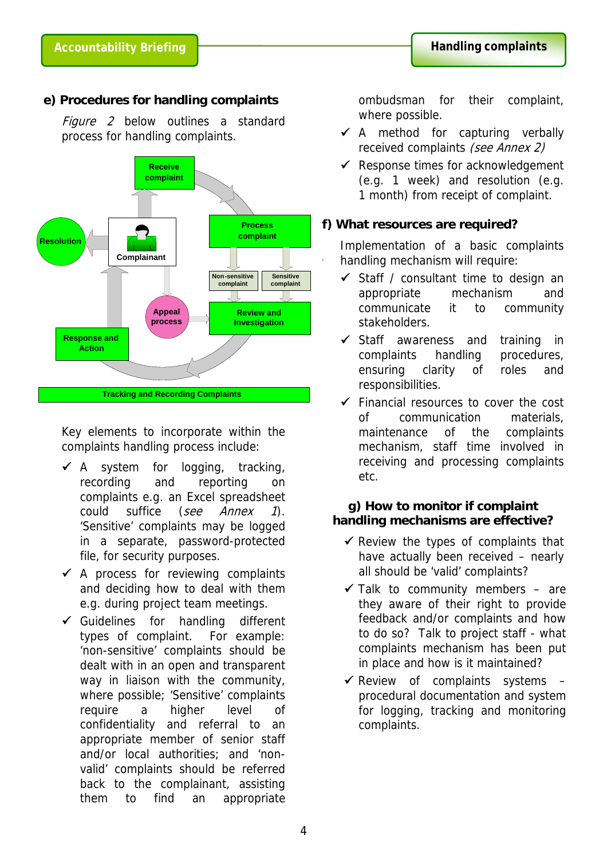# **e) Procedures for handling complaints**

Figure 2 below outlines a standard process for handling complaints.



Key elements to incorporate within the complaints handling process include:

- $\checkmark$  A system for logging, tracking, recording and reporting on complaints e.g. an Excel spreadsheet could suffice (see Annex  $\hat{\eta}$ ). 'Sensitive' complaints may be logged in a separate, password-protected file, for security purposes.
- $\checkmark$  A process for reviewing complaints and deciding how to deal with them e.g. during project team meetings.
- $\checkmark$  Guidelines for handling different types of complaint. For example: 'non-sensitive' complaints should be dealt with in an open and transparent way in liaison with the community, where possible; 'Sensitive' complaints require a higher level of confidentiality and referral to an appropriate member of senior staff and/or local authorities; and 'nonvalid' complaints should be referred back to the complainant, assisting them to find an appropriate

ombudsman for their complaint, where possible.

- $\checkmark$  A method for capturing verbally received complaints (see Annex 2)
- $\checkmark$  Response times for acknowledgement (e.g. 1 week) and resolution (e.g. 1 month) from receipt of complaint.

### **f) What resources are required?**

/

Implementation of a basic complaints handling mechanism will require:

- $\checkmark$  Staff / consultant time to design an appropriate mechanism and communicate it to community stakeholders.
- $\checkmark$  Staff awareness and training in complaints handling procedures, ensuring clarity of roles and responsibilities.
- $\checkmark$  Financial resources to cover the cost of communication materials, maintenance of the complaints mechanism, staff time involved in receiving and processing complaints etc.

# **g) How to monitor if complaint handling mechanisms are effective?**

- $\checkmark$  Review the types of complaints that have actually been received – nearly all should be 'valid' complaints?
- $\checkmark$  Talk to community members are they aware of their right to provide feedback and/or complaints and how to do so? Talk to project staff - what complaints mechanism has been put in place and how is it maintained?
- $\checkmark$  Review of complaints systems procedural documentation and system for logging, tracking and monitoring complaints.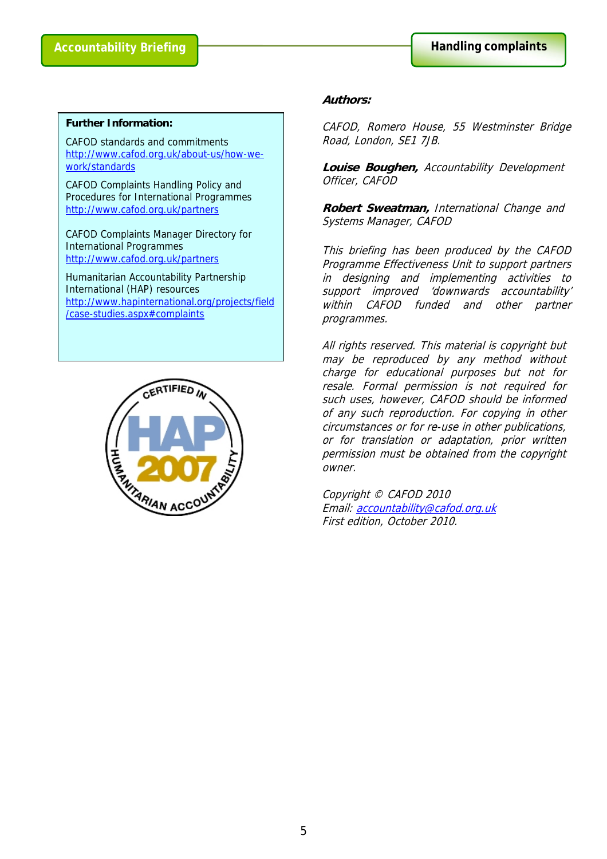#### **Further Information:**

CAFOD standards and commitments http://www.cafod.org.uk/about-us/how-wework/standards

CAFOD Complaints Handling Policy and Procedures for International Programmes http://www.cafod.org.uk/partners

CAFOD Complaints Manager Directory for International Programmes http://www.cafod.org.uk/partners

Humanitarian Accountability Partnership International (HAP) resources http://www.hapinternational.org/projects/field /case-studies.aspx#complaints



#### **Authors:**

CAFOD, Romero House, 55 Westminster Bridge Road, London, SE1 7JB.

**Louise Boughen,** Accountability Development Officer, CAFOD

**Robert Sweatman,** International Change and Systems Manager, CAFOD

This briefing has been produced by the CAFOD Programme Effectiveness Unit to support partners in designing and implementing activities to support improved 'downwards accountability' within CAFOD funded and other partner programmes.

All rights reserved. This material is copyright but may be reproduced by any method without charge for educational purposes but not for resale. Formal permission is not required for such uses, however, CAFOD should be informed of any such reproduction. For copying in other circumstances or for re-use in other publications, or for translation or adaptation, prior written permission must be obtained from the copyright owner.

Copyright © CAFOD 2010 Email: accountability@cafod.org.uk First edition, October 2010.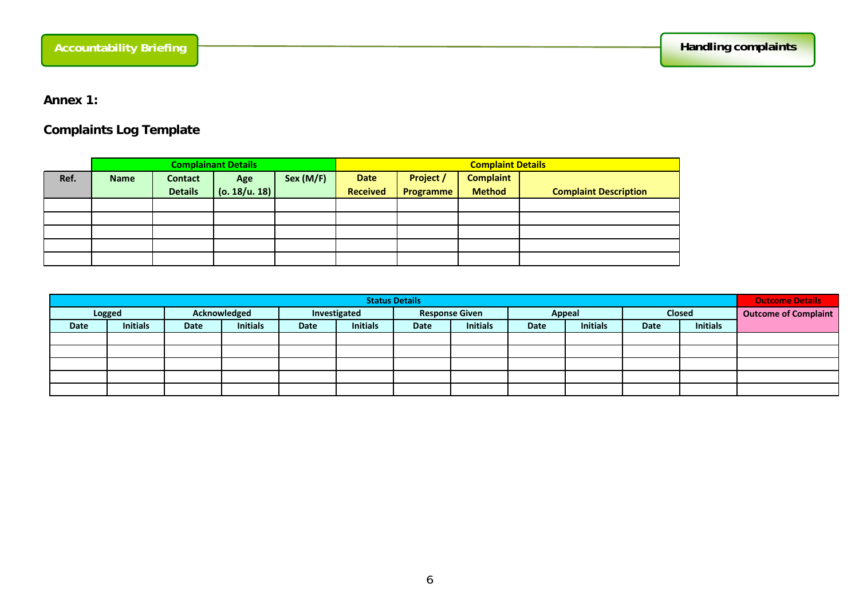**Annex 1:** 

# **Complaints Log Template**

|      |             |                                  | <b>Complainant Details</b> |           | <b>Complaint Details</b>       |                        |                                   |                              |  |
|------|-------------|----------------------------------|----------------------------|-----------|--------------------------------|------------------------|-----------------------------------|------------------------------|--|
| Ref. | <b>Name</b> | <b>Contact</b><br><b>Details</b> | Age<br>(0.18/u.18)         | Sex (M/F) | <b>Date</b><br><b>Received</b> | Project /<br>Programme | <b>Complaint</b><br><b>Method</b> |                              |  |
|      |             |                                  |                            |           |                                |                        |                                   | <b>Complaint Description</b> |  |
|      |             |                                  |                            |           |                                |                        |                                   |                              |  |
|      |             |                                  |                            |           |                                |                        |                                   |                              |  |
|      |             |                                  |                            |           |                                |                        |                                   |                              |  |
|      |             |                                  |                            |           |                                |                        |                                   |                              |  |
|      |             |                                  |                            |           |                                |                        |                                   |                              |  |

| <b>Status Details</b> |                               |             |                 |             |                       |             |                 | <b>Outcome Details</b> |                 |             |                             |  |
|-----------------------|-------------------------------|-------------|-----------------|-------------|-----------------------|-------------|-----------------|------------------------|-----------------|-------------|-----------------------------|--|
|                       | Acknowledged<br><b>Logged</b> |             | Investigated    |             | <b>Response Given</b> |             | <b>Appeal</b>   |                        | <b>Closed</b>   |             | <b>Outcome of Complaint</b> |  |
| Date                  | <b>Initials</b>               | <b>Date</b> | <b>Initials</b> | <b>Date</b> | <b>Initials</b>       | <b>Date</b> | <b>Initials</b> | Date                   | <b>Initials</b> | <b>Date</b> | <b>Initials</b>             |  |
|                       |                               |             |                 |             |                       |             |                 |                        |                 |             |                             |  |
|                       |                               |             |                 |             |                       |             |                 |                        |                 |             |                             |  |
|                       |                               |             |                 |             |                       |             |                 |                        |                 |             |                             |  |
|                       |                               |             |                 |             |                       |             |                 |                        |                 |             |                             |  |
|                       |                               |             |                 |             |                       |             |                 |                        |                 |             |                             |  |